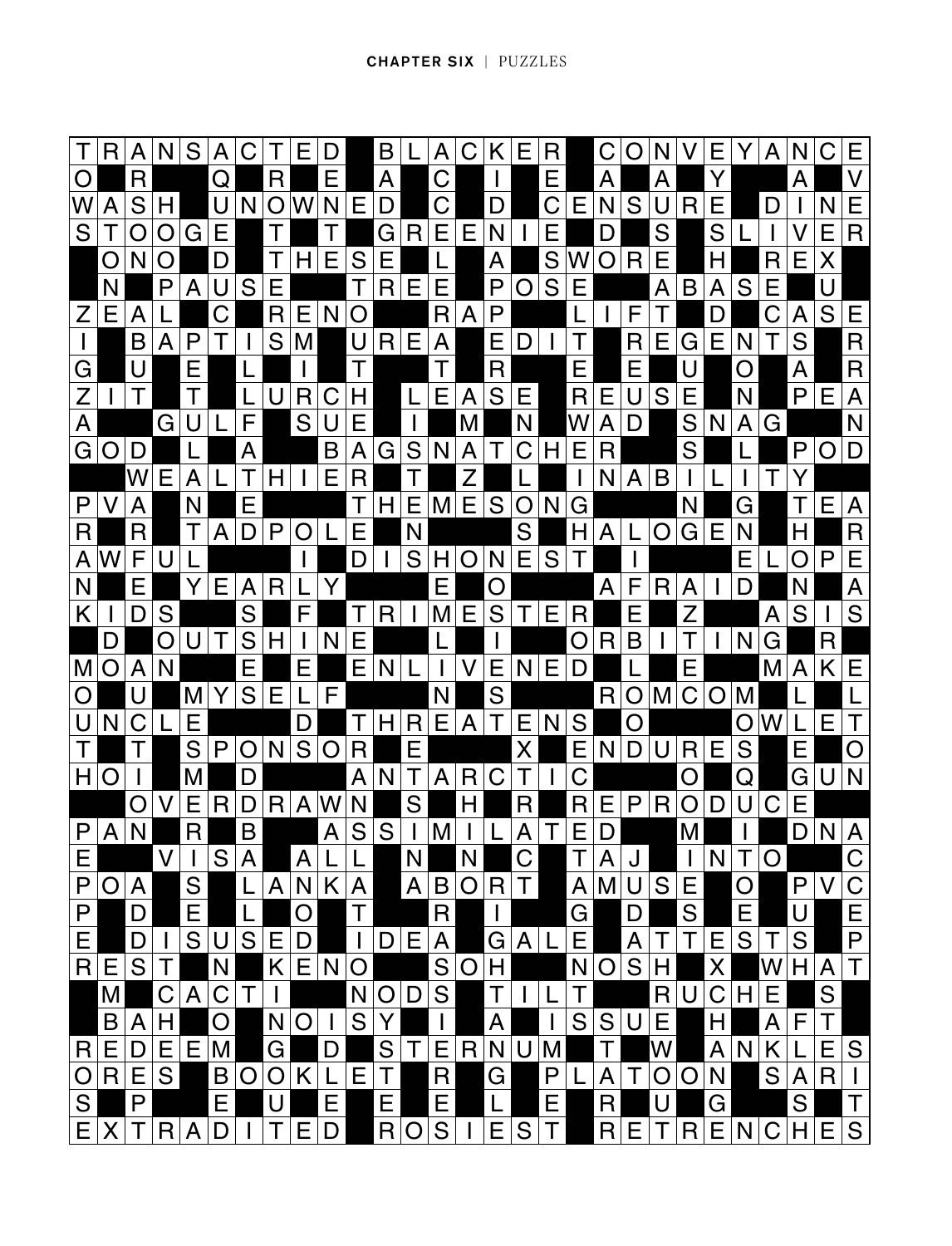